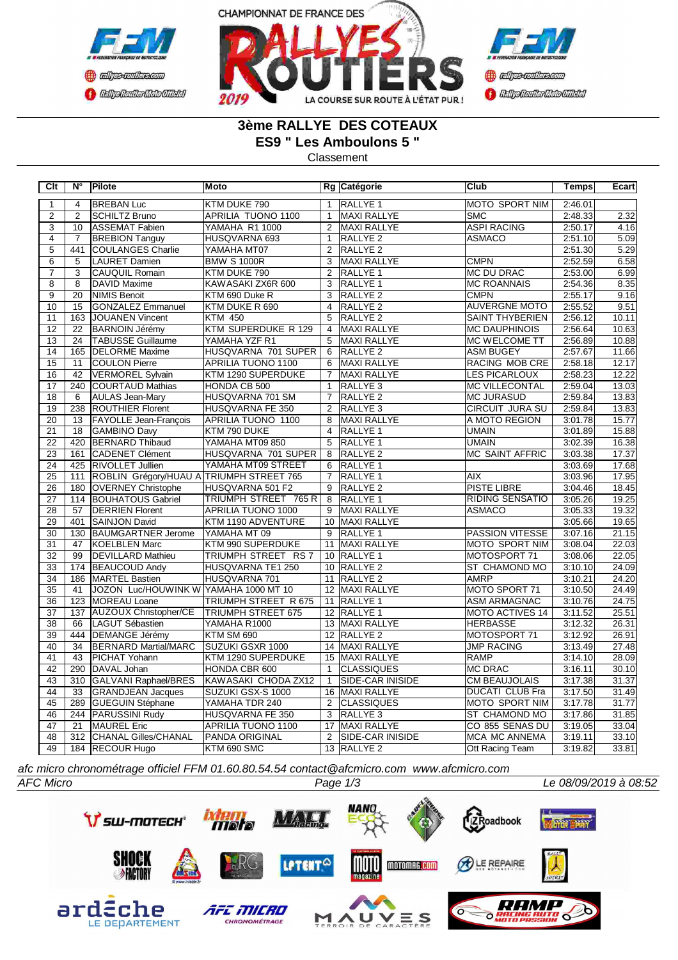





## **3ème RALLYE DES COTEAUX ES9 " Les Amboulons 5 "**

Classement

| Clt             | N°              | Pilote                                   | Moto                        |                 | Rg Catégorie            | <b>Club</b>            | Temps   | Ecart |
|-----------------|-----------------|------------------------------------------|-----------------------------|-----------------|-------------------------|------------------------|---------|-------|
| $\mathbf{1}$    | $\overline{4}$  | <b>BREBAN Luc</b>                        | KTM DUKE 790                | $\mathbf{1}$    | <b>RALLYE 1</b>         | <b>MOTO SPORT NIM</b>  | 2:46.01 |       |
| $\overline{2}$  | $\overline{2}$  | <b>SCHILTZ Bruno</b>                     | APRILIA TUONO 1100          | $\mathbf{1}$    | MAXI RALLYE             | <b>SMC</b>             | 2:48.33 | 2.32  |
| $\overline{3}$  | 10              | ASSEMAT Fabien                           | YAMAHA R1 1000              | $\overline{2}$  | MAXI RALLYE             | <b>ASPI RACING</b>     | 2:50.17 | 4.16  |
| $\overline{4}$  | $\overline{7}$  | <b>BREBION Tanguy</b>                    | HUSQVARNA 693               | $\mathbf{1}$    | RALLYE <sub>2</sub>     | <b>ASMACO</b>          | 2:51.10 | 5.09  |
| $\overline{5}$  | 441             | <b>COULANGES Charlie</b>                 | YAMAHA MT07                 | 2               | <b>RALLYE 2</b>         |                        | 2:51.30 | 5.29  |
| $\overline{6}$  | $\overline{5}$  | LAURET Damien                            | <b>BMW S 1000R</b>          | $\overline{3}$  | <b>MAXI RALLYE</b>      | <b>CMPN</b>            | 2:52.59 | 6.58  |
| $\overline{7}$  | 3               | <b>CAUQUIL Romain</b>                    | KTM DUKE 790                | 2               | RALLYE 1                | MC DU DRAC             | 2:53.00 | 6.99  |
| $\overline{8}$  | $\overline{8}$  | DAVID Maxime                             | KAWASAKI ZX6R 600           | $\overline{3}$  | RALLYE <sub>1</sub>     | <b>MC ROANNAIS</b>     | 2:54.36 | 8.35  |
| $\overline{9}$  | $\overline{20}$ | <b>INIMIS Benoit</b>                     | KTM 690 Duke R              | 3               | RALLYE <sub>2</sub>     | <b>CMPN</b>            | 2:55.17 | 9.16  |
| 10              | 15              | GONZALEZ Emmanuel                        | KTM DUKE R 690              | $\overline{4}$  | RALLYE <sub>2</sub>     | <b>AUVERGNE MOTO</b>   | 2:55.52 | 9.51  |
| 11              | 163             | <b>JOUANEN Vincent</b>                   | <b>KTM 450</b>              | 5               | <b>RALLYE 2</b>         | <b>SAINT THYBERIEN</b> | 2:56.12 | 10.11 |
| 12              | 22              | <b>BARNOIN Jérémy</b>                    | KTM SUPERDUKE R 129         | $\overline{4}$  | MAXI RALLYE             | <b>MC DAUPHINOIS</b>   | 2:56.64 | 10.63 |
| $\overline{13}$ | $\overline{24}$ | <b>TABUSSE Guillaume</b>                 | YAMAHA YZF R1               | $\overline{5}$  | <b>MAXI RALLYE</b>      | <b>MC WELCOME TT</b>   | 2:56.89 | 10.88 |
| 14              | 165             | <b>DELORME</b> Maxime                    | HUSQVARNA 701 SUPER         | 6               | RALLYE <sub>2</sub>     | <b>ASM BUGEY</b>       | 2:57.67 | 11.66 |
| $\overline{15}$ | 11              | <b>COULON Pierre</b>                     | <b>APRILIA TUONO 1100</b>   | 6               | <b>MAXI RALLYE</b>      | <b>RACING MOB CRE</b>  | 2:58.18 | 12.17 |
| 16              | 42              | VERMOREL Sylvain                         | KTM 1290 SUPERDUKE          | $\overline{7}$  | <b>MAXI RALLYE</b>      | <b>LES PICARLOUX</b>   | 2:58.23 | 12.22 |
| 17              | 240             | COURTAUD Mathias                         | HONDA CB 500                | $\mathbf{1}$    | <b>RALLYE3</b>          | <b>IMC VILLECONTAL</b> | 2:59.04 | 13.03 |
| $\overline{18}$ | 6               | AULAS Jean-Mary                          | HUSQVARNA 701 SM            | $\overline{7}$  | <b>RALLYE 2</b>         | <b>MC JURASUD</b>      | 2:59.84 | 13.83 |
| $\overline{19}$ | 238             | <b>ROUTHIER Florent</b>                  | HUSQVARNA FE 350            | 2               | RALLYE <sub>3</sub>     | <b>CIRCUIT JURA SU</b> | 2:59.84 | 13.83 |
| 20              | 13              | <b>FAYOLLE Jean-François</b>             | APRILIA TUONO 1100          | 8               | <b>MAXI RALLYE</b>      | A MOTO REGION          | 3:01.78 | 15.77 |
| $\overline{21}$ | 18              | GAMBINO Davy                             | KTM 790 DUKE                | $\overline{4}$  | <b>RALLYE 1</b>         | <b>UMAIN</b>           | 3:01.89 | 15.88 |
| $\overline{22}$ | 420             | <b>BERNARD Thibaud</b>                   | YAMAHA MT09 850             | 5               | <b>RALLYE 1</b>         | <b>UMAIN</b>           | 3:02.39 | 16.38 |
| 23              | 161             | <b>CADENET Clément</b>                   | HUSQVARNA 701 SUPER         | 8               | <b>RALLYE 2</b>         | <b>MC SAINT AFFRIC</b> | 3:03.38 | 17.37 |
| $\overline{24}$ | 425             | <b>RIVOLLET Jullien</b>                  | YAMAHA MT09 STREET          | 6               | RALLYE <sub>1</sub>     |                        | 3:03.69 | 17.68 |
| $\overline{25}$ | 111             | ROBLIN Grégory/HUAU A TRIUMPH STREET 765 |                             | $\overline{7}$  | RALLYE 1                | AIX                    | 3:03.96 | 17.95 |
| $\overline{26}$ | 180             | <b>OVERNEY Christophe</b>                | HUSQVARNA 501 F2            | $\overline{9}$  | <b>RALLYE 2</b>         | <b>PISTE LIBRE</b>     | 3:04.46 | 18.45 |
| $\overline{27}$ | 114             | <b>BOUHATOUS Gabriel</b>                 | TRIUMPH STREET 765 R        | 8               | RALLYE <sub>1</sub>     | <b>RIDING SENSATIO</b> | 3:05.26 | 19.25 |
| 28              | 57              | <b>DERRIEN Florent</b>                   | APRILIA TUONO 1000          | 9               | MAXI RALLYE             | <b>ASMACO</b>          | 3:05.33 | 19.32 |
| 29              | 401             | SAINJON David                            | KTM 1190 ADVENTURE          | 10 <sup>°</sup> | MAXI RALLYE             |                        | 3:05.66 | 19.65 |
| 30              | 130             | <b>BAUMGARTNER Jerome</b>                | YAMAHA MT 09                | 9               | RALLYE 1                | <b>PASSION VITESSE</b> | 3:07.16 | 21.15 |
| 31              | 47              | KOELBLEN Marc                            | KTM 990 SUPERDUKE           | $\overline{11}$ | MAXI RALLYE             | <b>MOTO SPORT NIM</b>  | 3:08.04 | 22.03 |
| 32              | 99              | DEVILLARD Mathieu                        | TRIUMPH STREET RS 7         |                 | 10 RALLYE 1             | MOTOSPORT 71           | 3:08.06 | 22.05 |
| $\overline{33}$ | 174             | <b>BEAUCOUD Andy</b>                     | HUSQVARNA TE1 250           |                 | 10 RALLYE 2             | ST CHAMOND MO          | 3:10.10 | 24.09 |
| $\overline{34}$ | 186             | MARTEL Bastien                           | HUSQVARNA 701               |                 | 11 RALLYE 2             | <b>AMRP</b>            | 3:10.21 | 24.20 |
| $\overline{35}$ | 41              | JOZON Luc/HOUWINK W YAMAHA 1000 MT 10    |                             |                 | 12 MAXI RALLYE          | MOTO SPORT 71          | 3:10.50 | 24.49 |
| 36              | 123             | MOREAU Loane                             | <b>TRIUMPH STREET R 675</b> |                 | 11 RALLYE 1             | <b>ASM ARMAGNAC</b>    | 3:10.76 | 24.75 |
| 37              | 137             | <b>AUZOUX Christopher/CE</b>             | <b>TRIUMPH STREET 675</b>   |                 | 12 RALLYE 1             | <b>MOTO ACTIVES 14</b> | 3:11.52 | 25.51 |
| $\overline{38}$ | 66              | LAGUT Sébastien                          | YAMAHA R1000                |                 | 13 MAXI RALLYE          | <b>HERBASSE</b>        | 3:12.32 | 26.31 |
| 39              | 444             | DEMANGE Jérémy                           | KTM SM 690                  | 12 <sup>2</sup> | RALLYE <sub>2</sub>     | <b>IMOTOSPORT 71</b>   | 3:12.92 | 26.91 |
| 40              | $\overline{34}$ | <b>BERNARD Martial/MARC</b>              | SUZUKI GSXR 1000            |                 | 14 MAXI RALLYE          | <b>JMP RACING</b>      | 3:13.49 | 27.48 |
| 41              | 43              | PICHAT Yohann                            | KTM 1290 SUPERDUKE          |                 | 15 MAXI RALLYE          | <b>RAMP</b>            | 3:14.10 | 28.09 |
| 42              | 290             | DAVAL Johan                              | HONDA CBR 600               | $\mathbf{1}$    | <b>CLASSIQUES</b>       | <b>MC DRAC</b>         | 3:16.11 | 30.10 |
| 43              | 310             | <b>GALVANI Raphael/BRES</b>              | KAWASAKI CHODA ZX12         | $\overline{1}$  | <b>SIDE-CAR INISIDE</b> | <b>CM BEAUJOLAIS</b>   | 3:17.38 | 31.37 |
| $\overline{44}$ | 33              | <b>GRANDJEAN Jacques</b>                 | SUZUKI GSX-S 1000           | 16              | <b>MAXI RALLYE</b>      | <b>DUCATI CLUB Fra</b> | 3:17.50 | 31.49 |
| 45              | 289             | <b>GUEGUIN Stéphane</b>                  | YAMAHA TDR 240              | $\overline{2}$  | <b>CLASSIQUES</b>       | MOTO SPORT NIM         | 3:17.78 | 31.77 |
| 46              | 244             | <b>PARUSSINI Rudy</b>                    | HUSQVARNA FE 350            | 3               | RALLYE <sub>3</sub>     | <b>ST CHAMOND MO</b>   | 3:17.86 | 31.85 |
| 47              | 21              | MAUREL Eric                              | APRILIA TUONO 1100          |                 | 17 MAXI RALLYE          | CO 855 SENAS DU        | 3:19.05 | 33.04 |
| 48              |                 | 312 CHANAL Gilles/CHANAL                 | <b>PANDA ORIGINAL</b>       | $\overline{2}$  | <b>SIDE-CAR INISIDE</b> | <b>MCA MC ANNEMA</b>   | 3:19.11 | 33.10 |
| 49              |                 | 184 RECOUR Hugo                          | KTM 690 SMC                 |                 | 13 RALLYE 2             | Ott Racing Team        | 3:19.82 | 33.81 |

*afc micro chronométrage officiel FFM 01.60.80.54.54 contact@afcmicro.com www.afcmicro.com*

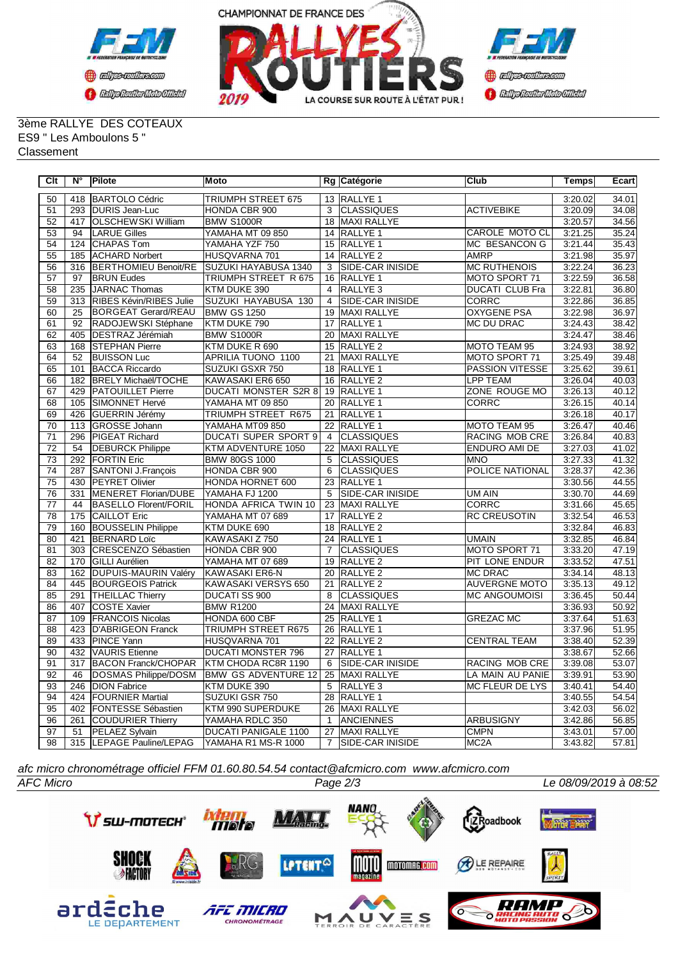



## 3ème RALLYE DES COTEAUX ES9 " Les Amboulons 5 " Classement

| Clt             | N°               | Pilote                       | <b>Moto</b>                 |                 | Rg Catégorie            | Club                   | Temps   | Ecart |
|-----------------|------------------|------------------------------|-----------------------------|-----------------|-------------------------|------------------------|---------|-------|
| 50              | 418              | <b>IBARTOLO Cédric</b>       | <b>TRIUMPH STREET 675</b>   |                 | 13 RALLYE 1             |                        | 3:20.02 | 34.01 |
| 51              |                  | 293 DURIS Jean-Luc           | HONDA CBR 900               | 3               | <b>CLASSIQUES</b>       | <b>ACTIVEBIKE</b>      | 3:20.09 | 34.08 |
| $\overline{52}$ | 417              | <b>OLSCHEWSKI William</b>    | <b>BMW S1000R</b>           |                 | 18 MAXI RALLYE          |                        | 3:20.57 | 34.56 |
| 53              | 94               | <b>LARUE Gilles</b>          | YAMAHA MT 09 850            |                 | 14 RALLYE 1             | <b>CAROLE MOTO CL</b>  | 3:21.25 | 35.24 |
| 54              | 124              | CHAPAS Tom                   | YAMAHA YZF 750              |                 | 15 RALLYE 1             | MC BESANCON G          | 3:21.44 | 35.43 |
| 55              | 185              | <b>ACHARD Norbert</b>        | HUSQVARNA 701               |                 | 14 RALLYE 2             | <b>AMRP</b>            | 3:21.98 | 35.97 |
| 56              | 316              | <b>BERTHOMIEU Benoit/RE</b>  | SUZUKI HAYABUSA 1340        | 3               | <b>SIDE-CAR INISIDE</b> | <b>MC RUTHENOIS</b>    | 3:22.24 | 36.23 |
| 57              | 97               | <b>BRUN Eudes</b>            | TRIUMPH STREET R 675        | 16              | <b>RALLYE 1</b>         | <b>MOTO SPORT 71</b>   | 3:22.59 | 36.58 |
| $\overline{58}$ | 235              | <b>JARNAC Thomas</b>         | KTM DUKE 390                | $\overline{4}$  | <b>RALLYE 3</b>         | <b>DUCATI CLUB Fra</b> | 3:22.81 | 36.80 |
| 59              | 313              | RIBES Kévin/RIBES Julie      | SUZUKI HAYABUSA 130         | $\overline{4}$  | <b>SIDE-CAR INISIDE</b> | <b>CORRC</b>           | 3:22.86 | 36.85 |
| 60              | $\overline{25}$  | <b>BORGEAT Gerard/REAU</b>   | <b>BMW GS 1250</b>          |                 | 19 MAXI RALLYE          | <b>OXYGENE PSA</b>     | 3:22.98 | 36.97 |
| 61              | 92               | RADOJEWSKI Stéphane          | KTM DUKE 790                | 17              | <b>RALLYE 1</b>         | MC DU DRAC             | 3:24.43 | 38.42 |
| 62              | 405              | DESTRAZ Jérémiah             | <b>BMW S1000R</b>           | 20              | MAXI RALLYE             |                        | 3:24.47 | 38.46 |
| 63              | 168              | <b>STEPHAN Pierre</b>        | KTM DUKE R 690              | 15              | RALLYE <sub>2</sub>     | MOTO TEAM 95           | 3:24.93 | 38.92 |
| 64              | $\overline{52}$  | <b>BUISSON Luc</b>           | <b>APRILIA TUONO 1100</b>   | 21              | MAXI RALLYE             | MOTO SPORT 71          | 3:25.49 | 39.48 |
| 65              | 101              | <b>BACCA Riccardo</b>        | SUZUKI GSXR 750             |                 | 18 RALLYE 1             | PASSION VITESSE        | 3:25.62 | 39.61 |
| 66              | 182              | <b>BRELY Michaël/TOCHE</b>   | KAWASAKI ER6 650            |                 | 16 RALLYE 2             | <b>LPP TEAM</b>        | 3:26.04 | 40.03 |
| 67              | 429              | <b>PATOUILLET Pierre</b>     | <b>DUCATI MONSTER S2R 8</b> |                 | 19 RALLYE 1             | ZONE ROUGE MO          | 3:26.13 | 40.12 |
| 68              | 105              | SIMONNET Hervé               | YAMAHA MT 09 850            |                 | 20 RALLYE 1             | CORRC                  | 3:26.15 | 40.14 |
| 69              | 426              | GUERRIN Jérémy               | TRIUMPH STREET R675         |                 | 21 RALLYE 1             |                        | 3:26.18 | 40.17 |
| $\overline{70}$ | $\overline{113}$ | <b>GROSSE Johann</b>         | YAMAHA MT09 850             |                 | 22 RALLYE 1             | MOTO TEAM 95           | 3:26.47 | 40.46 |
| $\overline{71}$ | 296              | <b>PIGEAT Richard</b>        | <b>DUCATI SUPER SPORT 9</b> | $\overline{4}$  | <b>CLASSIQUES</b>       | <b>RACING MOB CRE</b>  | 3:26.84 | 40.83 |
| $\overline{72}$ | $\overline{54}$  | <b>DEBURCK Philippe</b>      | KTM ADVENTURE 1050          | 22              | MAXI RALLYE             | <b>ENDURO AMI DE</b>   | 3:27.03 | 41.02 |
| 73              | 292              | <b>FORTIN Eric</b>           | <b>BMW 80GS 1000</b>        | $\overline{5}$  | <b>CLASSIQUES</b>       | <b>MNO</b>             | 3:27.33 | 41.32 |
| $\overline{74}$ | 287              | <b>SANTONI J.François</b>    | <b>HONDA CBR 900</b>        | 6               | <b>CLASSIQUES</b>       | <b>POLICE NATIONAL</b> | 3:28.37 | 42.36 |
| 75              | 430              | <b>PEYRET Olivier</b>        | HONDA HORNET 600            | 23              | RALLYE <sub>1</sub>     |                        | 3:30.56 | 44.55 |
| 76              | 331              | <b>MENERET Florian/DUBE</b>  | YAMAHA FJ 1200              | 5               | <b>SIDE-CAR INISIDE</b> | <b>UM AIN</b>          | 3:30.70 | 44.69 |
| $\overline{77}$ | 44               | <b>BASELLO Florent/FORIL</b> | HONDA AFRICA TWIN 10        | 23              | <b>MAXI RALLYE</b>      | <b>CORRC</b>           | 3:31.66 | 45.65 |
| 78              | 175              | <b>CAILLOT Eric</b>          | YAMAHA MT 07 689            | 17              | RALLYE <sub>2</sub>     | <b>RC CREUSOTIN</b>    | 3:32.54 | 46.53 |
| 79              | 160              | <b>BOUSSELIN Philippe</b>    | KTM DUKE 690                |                 | 18 RALLYE 2             |                        | 3:32.84 | 46.83 |
| 80              | 421              | <b>BERNARD Loïc</b>          | KAWASAKI Z 750              | $\overline{24}$ | <b>RALLYE 1</b>         | <b>UMAIN</b>           | 3:32.85 | 46.84 |
| $\overline{81}$ | $\overline{303}$ | <b>CRESCENZO Sébastien</b>   | HONDA CBR 900               | $\overline{7}$  | <b>CLASSIQUES</b>       | MOTO SPORT 71          | 3:33.20 | 47.19 |
| 82              | 170              | GILLI Aurélien               | YAMAHA MT 07 689            | 19              | RALLYE <sub>2</sub>     | <b>PIT LONE ENDUR</b>  | 3:33.52 | 47.51 |
| 83              | 162              | DUPUIS-MAURIN Valéry         | KAWASAKI ER6-N              | 20              | RALLYE <sub>2</sub>     | <b>MC DRAC</b>         | 3:34.14 | 48.13 |
| 84              | 445              | <b>BOURGEOIS Patrick</b>     | KAWASAKI VERSYS 650         | $\overline{21}$ | <b>RALLYE 2</b>         | <b>AUVERGNE MOTO</b>   | 3:35.13 | 49.12 |
| 85              | 291              | <b>THEILLAC Thierry</b>      | <b>DUCATI SS 900</b>        | 8               | <b>CLASSIQUES</b>       | <b>MC ANGOUMOISI</b>   | 3:36.45 | 50.44 |
| 86              | 407              | <b>COSTE Xavier</b>          | <b>BMW R1200</b>            | $\overline{24}$ | MAXI RALLYE             |                        | 3:36.93 | 50.92 |
| 87              | 109              | <b>FRANCOIS Nicolas</b>      | HONDA 600 CBF               |                 | 25 RALLYE 1             | <b>GREZAC MC</b>       | 3:37.64 | 51.63 |
| $\overline{88}$ | 423              | <b>D'ABRIGEON Franck</b>     | <b>TRIUMPH STREET R675</b>  | 26              | <b>RALLYE 1</b>         |                        | 3:37.96 | 51.95 |
| 89              | 433              | <b>PINCE Yann</b>            | HUSQVARNA 701               | 22              | <b>RALLYE 2</b>         | <b>CENTRAL TEAM</b>    | 3:38.40 | 52.39 |
| 90              | 432              | VAURIS Etienne               | <b>DUCATI MONSTER 796</b>   |                 | 27 RALLYE 1             |                        | 3:38.67 | 52.66 |
| 91              | 317              | <b>BACON Franck/CHOPAR</b>   | KTM CHODA RC8R 1190         | 6               | <b>SIDE-CAR INISIDE</b> | RACING MOB CRE         | 3:39.08 | 53.07 |
| $\overline{92}$ | 46               | <b>DOSMAS Philippe/DOSM</b>  | <b>BMW GS ADVENTURE 12</b>  |                 | 25 MAXI RALLYE          | LA MAIN AU PANIE       | 3:39.91 | 53.90 |
| 93              | 246              | <b>DION Fabrice</b>          | KTM DUKE 390                | 5               | RALLYE <sub>3</sub>     | <b>MC FLEUR DE LYS</b> | 3:40.41 | 54.40 |
| 94              | 424              | <b>FOURNIER Martial</b>      | SUZUKI GSR 750              | $\overline{28}$ | <b>RALLYE 1</b>         |                        | 3:40.55 | 54.54 |
| $\overline{95}$ | 402              | FONTESSE Sébastien           | KTM 990 SUPERDUKE           | 26              | <b>MAXI RALLYE</b>      |                        | 3:42.03 | 56.02 |
| 96              | 261              | COUDURIER Thierry            | YAMAHA RDLC 350             | $\mathbf{1}$    | <b>ANCIENNES</b>        | <b>ARBUSIGNY</b>       | 3:42.86 | 56.85 |
| $\overline{97}$ | 51               | PELAEZ Sylvain               | <b>DUCATI PANIGALE 1100</b> | $\overline{27}$ | MAXI RALLYE             | <b>CMPN</b>            | 3:43.01 | 57.00 |
| 98              |                  | 315 LEPAGE Pauline/LEPAG     | YAMAHA R1 MS-R 1000         | $\overline{7}$  | <b>SIDE-CAR INISIDE</b> | MC <sub>2</sub> A      | 3:43.82 | 57.81 |

*afc micro chronométrage officiel FFM 01.60.80.54.54 contact@afcmicro.com www.afcmicro.com*